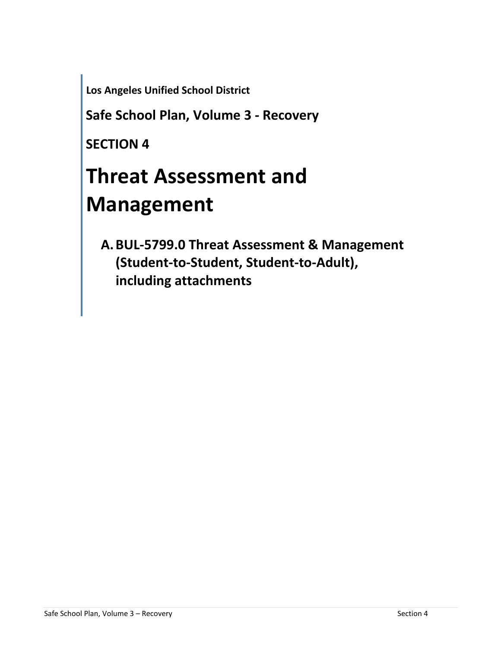**Los Angeles Unified School District**

**Safe School Plan, Volume 3 - Recovery**

**SECTION 4**

# **Threat Assessment and Management**

**A.BUL-5799.0 Threat Assessment & Management (Student-to-Student, Student-to-Adult), including attachments**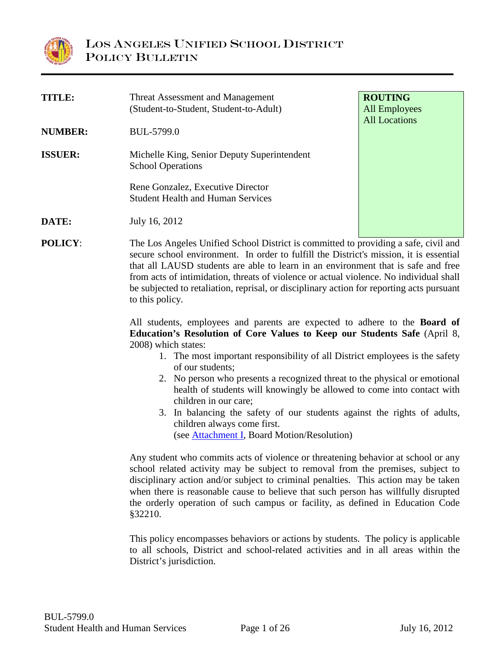

| <b>TITLE:</b>  | <b>Threat Assessment and Management</b><br>(Student-to-Student, Student-to-Adult)   | <b>ROUTING</b><br><b>All Employees</b><br><b>All Locations</b> |
|----------------|-------------------------------------------------------------------------------------|----------------------------------------------------------------|
| <b>NUMBER:</b> | BUL-5799.0                                                                          |                                                                |
| <b>ISSUER:</b> | Michelle King, Senior Deputy Superintendent<br><b>School Operations</b>             |                                                                |
|                | Rene Gonzalez, Executive Director<br><b>Student Health and Human Services</b>       |                                                                |
| DATE:          | July 16, 2012                                                                       |                                                                |
| <b>POLICY:</b> | The Los Angeles Unified School District is committed to providing a safe, civil and |                                                                |

**POLICY:** The Los Angeles Unified School District is committed to providing a safe, civil and secure school environment. In order to fulfill the District's mission, it is essential that all LAUSD students are able to learn in an environment that is safe and free from acts of intimidation, threats of violence or actual violence. No individual shall be subjected to retaliation, reprisal, or disciplinary action for reporting acts pursuant to this policy.

> All students, employees and parents are expected to adhere to the **Board of Education's Resolution of Core Values to Keep our Students Safe** (April 8, 2008) which states:

- 1. The most important responsibility of all District employees is the safety of our students;
- 2. No person who presents a recognized threat to the physical or emotional health of students will knowingly be allowed to come into contact with children in our care;
- 3. In balancing the safety of our students against the rights of adults, children always come first.

<span id="page-1-0"></span>(see [Attachment I,](#page-26-0) Board Motion/Resolution)

Any student who commits acts of violence or threatening behavior at school or any school related activity may be subject to removal from the premises, subject to disciplinary action and/or subject to criminal penalties. This action may be taken when there is reasonable cause to believe that such person has willfully disrupted the orderly operation of such campus or facility, as defined in Education Code §32210.

This policy encompasses behaviors or actions by students. The policy is applicable to all schools, District and school-related activities and in all areas within the District's jurisdiction.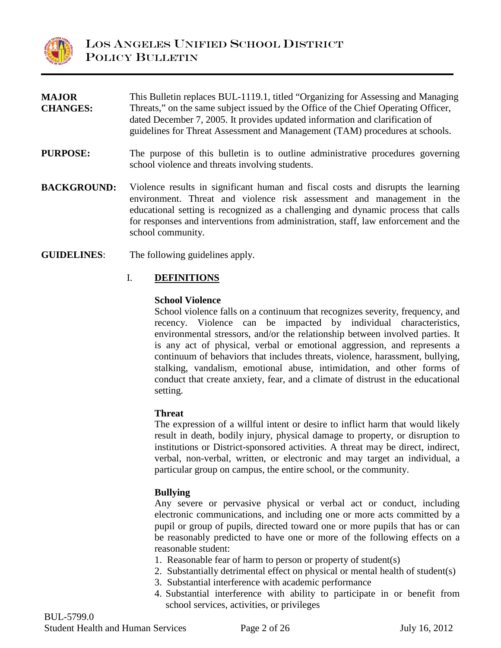

| <b>MAJOR</b><br><b>CHANGES:</b> | This Bulletin replaces BUL-1119.1, titled "Organizing for Assessing and Managing<br>Threats," on the same subject issued by the Office of the Chief Operating Officer,<br>dated December 7, 2005. It provides updated information and clarification of<br>guidelines for Threat Assessment and Management (TAM) procedures at schools.                      |
|---------------------------------|-------------------------------------------------------------------------------------------------------------------------------------------------------------------------------------------------------------------------------------------------------------------------------------------------------------------------------------------------------------|
| <b>PURPOSE:</b>                 | The purpose of this bulletin is to outline administrative procedures governing<br>school violence and threats involving students.                                                                                                                                                                                                                           |
| <b>BACKGROUND:</b>              | Violence results in significant human and fiscal costs and disrupts the learning<br>environment. Threat and violence risk assessment and management in the<br>educational setting is recognized as a challenging and dynamic process that calls<br>for responses and interventions from administration, staff, law enforcement and the<br>school community. |

**GUIDELINES**: The following guidelines apply.

#### I. **DEFINITIONS**

#### **School Violence**

School violence falls on a continuum that recognizes severity, frequency, and recency. Violence can be impacted by individual characteristics, environmental stressors, and/or the relationship between involved parties. It is any act of physical, verbal or emotional aggression, and represents a continuum of behaviors that includes threats, violence, harassment, bullying, stalking, vandalism, emotional abuse, intimidation, and other forms of conduct that create anxiety, fear, and a climate of distrust in the educational setting.

#### **Threat**

The expression of a willful intent or desire to inflict harm that would likely result in death, bodily injury, physical damage to property, or disruption to institutions or District-sponsored activities. A threat may be direct, indirect, verbal, non-verbal, written, or electronic and may target an individual, a particular group on campus, the entire school, or the community.

#### **Bullying**

Any severe or pervasive physical or verbal act or conduct, including electronic communications, and including one or more acts committed by a pupil or group of pupils, directed toward one or more pupils that has or can be reasonably predicted to have one or more of the following effects on a reasonable student:

- 1. Reasonable fear of harm to person or property of student(s)
- 2. Substantially detrimental effect on physical or mental health of student(s)
- 3. Substantial interference with academic performance
- 4. Substantial interference with ability to participate in or benefit from school services, activities, or privileges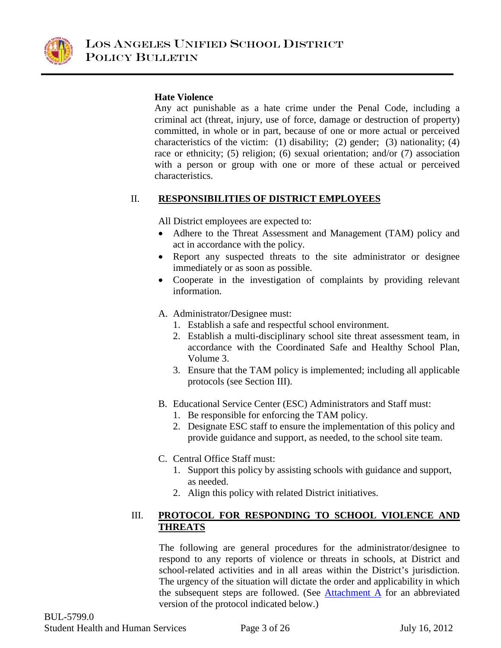

#### **Hate Violence**

Any act punishable as a hate crime under the Penal Code, including a criminal act (threat, injury, use of force, damage or destruction of property) committed, in whole or in part, because of one or more actual or perceived characteristics of the victim: (1) disability; (2) gender; (3) nationality; (4) race or ethnicity; (5) religion; (6) sexual orientation; and/or (7) association with a person or group with one or more of these actual or perceived characteristics.

### II. **RESPONSIBILITIES OF DISTRICT EMPLOYEES**

All District employees are expected to:

- Adhere to the Threat Assessment and Management (TAM) policy and act in accordance with the policy.
- Report any suspected threats to the site administrator or designee immediately or as soon as possible.
- Cooperate in the investigation of complaints by providing relevant information.
- A. Administrator/Designee must:
	- 1. Establish a safe and respectful school environment.
	- 2. Establish a multi-disciplinary school site threat assessment team, in accordance with the Coordinated Safe and Healthy School Plan, Volume 3.
	- 3. Ensure that the TAM policy is implemented; including all applicable protocols (see Section III).
- B. Educational Service Center (ESC) Administrators and Staff must:
	- 1. Be responsible for enforcing the TAM policy.
	- 2. Designate ESC staff to ensure the implementation of this policy and provide guidance and support, as needed, to the school site team.
- C. Central Office Staff must:
	- 1. Support this policy by assisting schools with guidance and support, as needed.
	- 2. Align this policy with related District initiatives.

#### III. **PROTOCOL FOR RESPONDING TO SCHOOL VIOLENCE AND THREATS**

<span id="page-3-0"></span>The following are general procedures for the administrator/designee to respond to any reports of violence or threats in schools, at District and school-related activities and in all areas within the District's jurisdiction. The urgency of the situation will dictate the order and applicability in which the subsequent steps are followed. (See [Attachment A](#page-14-0) for an abbreviated version of the protocol indicated below.)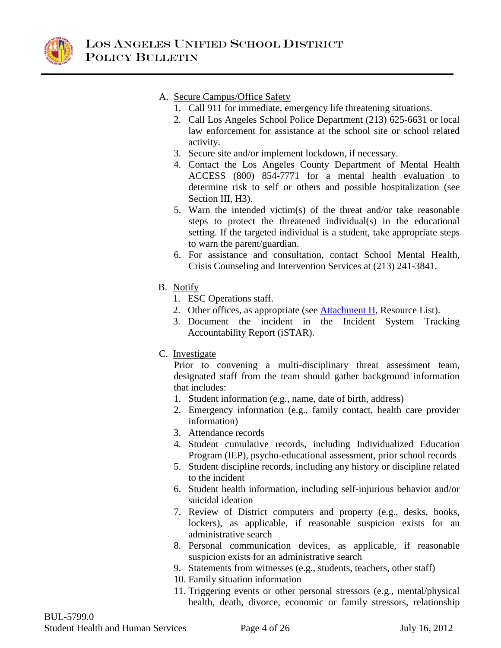

- A. Secure Campus/Office Safety
	- 1. Call 911 for immediate, emergency life threatening situations.
	- 2. Call Los Angeles School Police Department (213) 625-6631 or local law enforcement for assistance at the school site or school related activity.
	- 3. Secure site and/or implement lockdown, if necessary.
	- 4. Contact the Los Angeles County Department of Mental Health ACCESS (800) 854-7771 for a mental health evaluation to determine risk to self or others and possible hospitalization (see Section III, H<sub>3</sub>).
	- 5. Warn the intended victim(s) of the threat and/or take reasonable steps to protect the threatened individual(s) in the educational setting. If the targeted individual is a student, take appropriate steps to warn the parent/guardian.
	- 6. For assistance and consultation, contact School Mental Health, Crisis Counseling and Intervention Services at (213) 241-3841.
- B. Notify
	- 1. ESC Operations staff.
	- 2. Other offices, as appropriate (see **Attachment H**, Resource List).
	- 3. Document the incident in the Incident System Tracking Accountability Report (iSTAR).
- C. Investigate

<span id="page-4-0"></span>Prior to convening a multi-disciplinary threat assessment team, designated staff from the team should gather background information that includes:

- 1. Student information (e.g., name, date of birth, address)
- 2. Emergency information (e.g., family contact, health care provider information)
- 3. Attendance records
- 4. Student cumulative records, including Individualized Education Program (IEP), psycho-educational assessment, prior school records
- 5. Student discipline records, including any history or discipline related to the incident
- 6. Student health information, including self-injurious behavior and/or suicidal ideation
- 7. Review of District computers and property (e.g., desks, books, lockers), as applicable, if reasonable suspicion exists for an administrative search
- 8. Personal communication devices, as applicable, if reasonable suspicion exists for an administrative search
- 9. Statements from witnesses (e.g., students, teachers, other staff)
- 10. Family situation information
- 11. Triggering events or other personal stressors (e.g., mental/physical health, death, divorce, economic or family stressors, relationship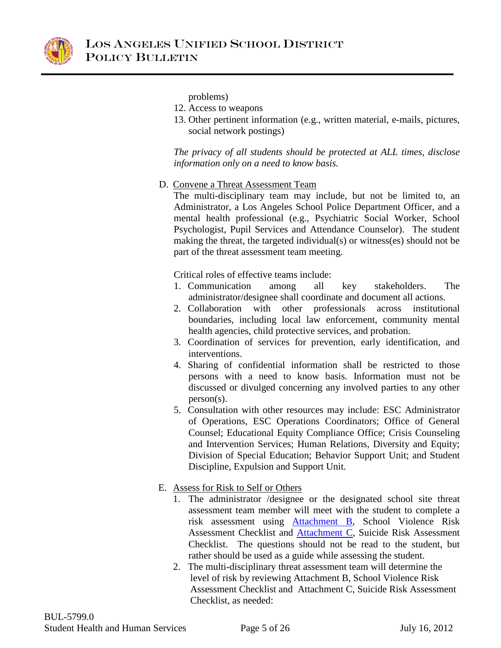

problems)

- 12. Access to weapons
- 13. Other pertinent information (e.g., written material, e-mails, pictures, social network postings)

*The privacy of all students should be protected at ALL times, disclose information only on a need to know basis.* 

D. Convene a Threat Assessment Team

The multi-disciplinary team may include, but not be limited to, an Administrator, a Los Angeles School Police Department Officer, and a mental health professional (e.g., Psychiatric Social Worker, School Psychologist, Pupil Services and Attendance Counselor). The student making the threat, the targeted individual(s) or witness(es) should not be part of the threat assessment team meeting.

Critical roles of effective teams include:

- 1. Communication among all key stakeholders. The administrator/designee shall coordinate and document all actions.
- 2. Collaboration with other professionals across institutional boundaries, including local law enforcement, community mental health agencies, child protective services, and probation.
- 3. Coordination of services for prevention, early identification, and interventions.
- 4. Sharing of confidential information shall be restricted to those persons with a need to know basis. Information must not be discussed or divulged concerning any involved parties to any other person(s).
- 5. Consultation with other resources may include: ESC Administrator of Operations, ESC Operations Coordinators; Office of General Counsel; Educational Equity Compliance Office; Crisis Counseling and Intervention Services; Human Relations, Diversity and Equity; Division of Special Education; Behavior Support Unit; and Student Discipline, Expulsion and Support Unit.
- <span id="page-5-1"></span><span id="page-5-0"></span>E. Assess for Risk to Self or Others
	- 1. The administrator /designee or the designated school site threat assessment team member will meet with the student to complete a risk assessment using [Attachment B](#page-16-0), School Violence Risk Assessment Checklist and [Attachment C,](#page-18-0) Suicide Risk Assessment Checklist. The questions should not be read to the student, but rather should be used as a guide while assessing the student.
	- 2. The multi-disciplinary threat assessment team will determine the level of risk by reviewing Attachment B, School Violence Risk Assessment Checklist and Attachment C, Suicide Risk Assessment Checklist, as needed: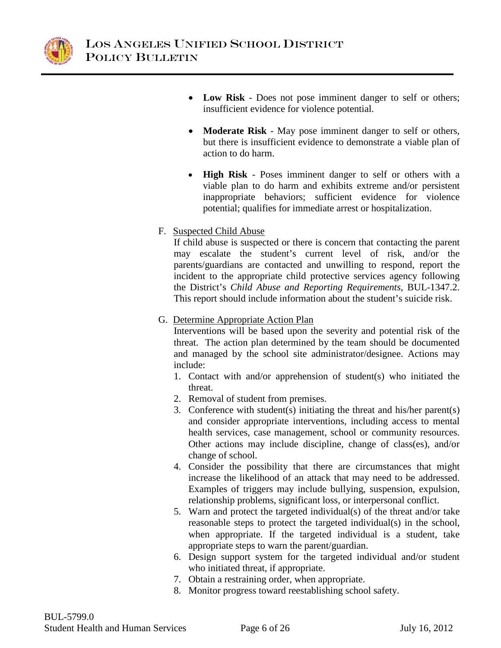

- **Low Risk** Does not pose imminent danger to self or others; insufficient evidence for violence potential.
- **Moderate Risk** May pose imminent danger to self or others, but there is insufficient evidence to demonstrate a viable plan of action to do harm.
- **High Risk**  Poses imminent danger to self or others with a viable plan to do harm and exhibits extreme and/or persistent inappropriate behaviors; sufficient evidence for violence potential; qualifies for immediate arrest or hospitalization.

### F. Suspected Child Abuse

If child abuse is suspected or there is concern that contacting the parent may escalate the student's current level of risk, and/or the parents/guardians are contacted and unwilling to respond, report the incident to the appropriate child protective services agency following the District's *Child Abuse and Reporting Requirements*, BUL-1347.2. This report should include information about the student's suicide risk.

### G. Determine Appropriate Action Plan

Interventions will be based upon the severity and potential risk of the threat. The action plan determined by the team should be documented and managed by the school site administrator/designee. Actions may include:

- 1. Contact with and/or apprehension of student(s) who initiated the threat.
- 2. Removal of student from premises.
- 3. Conference with student(s) initiating the threat and his/her parent(s) and consider appropriate interventions, including access to mental health services, case management, school or community resources. Other actions may include discipline, change of class(es), and/or change of school.
- 4. Consider the possibility that there are circumstances that might increase the likelihood of an attack that may need to be addressed. Examples of triggers may include bullying, suspension, expulsion, relationship problems, significant loss, or interpersonal conflict.
- 5. Warn and protect the targeted individual(s) of the threat and/or take reasonable steps to protect the targeted individual(s) in the school, when appropriate. If the targeted individual is a student, take appropriate steps to warn the parent/guardian.
- 6. Design support system for the targeted individual and/or student who initiated threat, if appropriate.
- 7. Obtain a restraining order, when appropriate.
- 8. Monitor progress toward reestablishing school safety.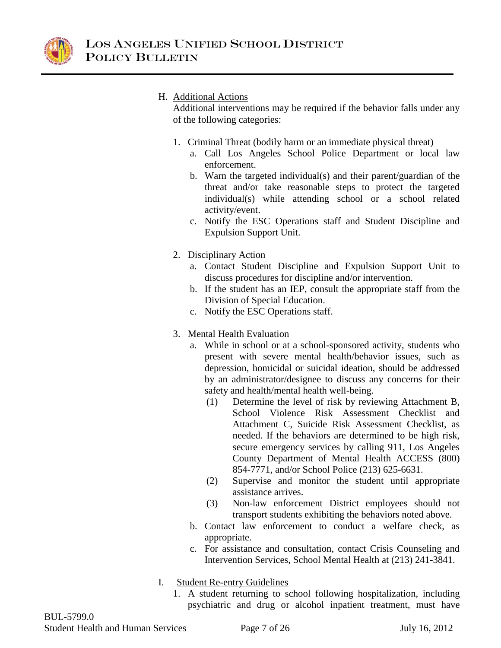

#### H. Additional Actions

Additional interventions may be required if the behavior falls under any of the following categories:

- 1. Criminal Threat (bodily harm or an immediate physical threat)
	- a. Call Los Angeles School Police Department or local law enforcement.
	- b. Warn the targeted individual(s) and their parent/guardian of the threat and/or take reasonable steps to protect the targeted individual(s) while attending school or a school related activity/event.
	- c. Notify the ESC Operations staff and Student Discipline and Expulsion Support Unit.
- 2. Disciplinary Action
	- a. Contact Student Discipline and Expulsion Support Unit to discuss procedures for discipline and/or intervention.
	- b. If the student has an IEP, consult the appropriate staff from the Division of Special Education.
	- c. Notify the ESC Operations staff.
- 3. Mental Health Evaluation
	- a. While in school or at a school-sponsored activity, students who present with severe mental health/behavior issues, such as depression, homicidal or suicidal ideation, should be addressed by an administrator/designee to discuss any concerns for their safety and health/mental health well-being.
		- (1) Determine the level of risk by reviewing Attachment B, School Violence Risk Assessment Checklist and Attachment C, Suicide Risk Assessment Checklist, as needed. If the behaviors are determined to be high risk, secure emergency services by calling 911, Los Angeles County Department of Mental Health ACCESS (800) 854-7771, and/or School Police (213) 625-6631.
		- (2) Supervise and monitor the student until appropriate assistance arrives.
		- (3) Non-law enforcement District employees should not transport students exhibiting the behaviors noted above.
	- b. Contact law enforcement to conduct a welfare check, as appropriate.
	- c. For assistance and consultation, contact Crisis Counseling and Intervention Services, School Mental Health at (213) 241-3841.
- I. Student Re-entry Guidelines
	- 1. A student returning to school following hospitalization, including psychiatric and drug or alcohol inpatient treatment, must have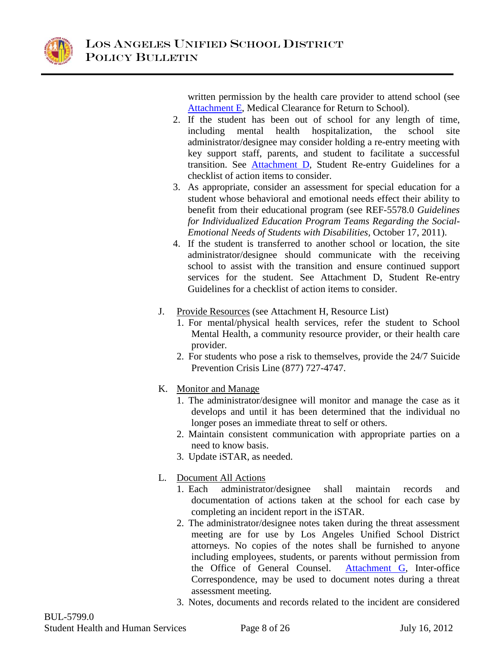<span id="page-8-1"></span>

written permission by the health care provider to attend school (see [Attachment E,](#page-21-0) Medical Clearance for Return to School).

- 2. If the student has been out of school for any length of time, including mental health hospitalization, the school site administrator/designee may consider holding a re-entry meeting with key support staff, parents, and student to facilitate a successful transition. See [Attachment D,](#page-20-0) Student Re-entry Guidelines for a checklist of action items to consider.
- <span id="page-8-0"></span>3. As appropriate, consider an assessment for special education for a student whose behavioral and emotional needs effect their ability to benefit from their educational program (see REF-5578.0 *Guidelines for Individualized Education Program Teams Regarding the Social-Emotional Needs of Students with Disabilities,* October 17, 2011).
- 4. If the student is transferred to another school or location, the site administrator/designee should communicate with the receiving school to assist with the transition and ensure continued support services for the student. See Attachment D, Student Re-entry Guidelines for a checklist of action items to consider.
- J. Provide Resources (see Attachment H, Resource List)
	- 1. For mental/physical health services, refer the student to School Mental Health, a community resource provider, or their health care provider.
	- 2. For students who pose a risk to themselves, provide the 24/7 Suicide Prevention Crisis Line (877) 727-4747.
- K. Monitor and Manage
	- 1. The administrator/designee will monitor and manage the case as it develops and until it has been determined that the individual no longer poses an immediate threat to self or others.
	- 2. Maintain consistent communication with appropriate parties on a need to know basis.
	- 3. Update iSTAR, as needed.
- <span id="page-8-2"></span>L. Document All Actions
	- 1. Each administrator/designee shall maintain records and documentation of actions taken at the school for each case by completing an incident report in the iSTAR.
	- 2. The administrator/designee notes taken during the threat assessment meeting are for use by Los Angeles Unified School District attorneys. No copies of the notes shall be furnished to anyone including employees, students, or parents without permission from the Office of General Counsel. [Attachment G,](#page-23-0) Inter-office Correspondence, may be used to document notes during a threat assessment meeting.
	- 3. Notes, documents and records related to the incident are considered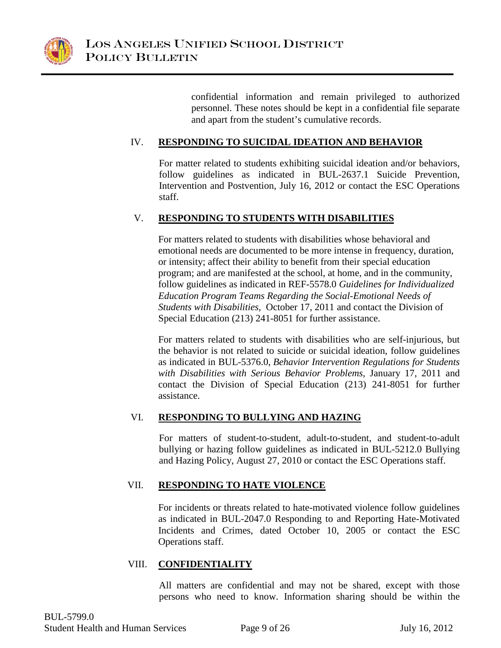

confidential information and remain privileged to authorized personnel. These notes should be kept in a confidential file separate and apart from the student's cumulative records.

### IV. **RESPONDING TO SUICIDAL IDEATION AND BEHAVIOR**

For matter related to students exhibiting suicidal ideation and/or behaviors, follow guidelines as indicated in BUL-2637.1 Suicide Prevention, Intervention and Postvention, July 16, 2012 or contact the ESC Operations staff.

#### V. **RESPONDING TO STUDENTS WITH DISABILITIES**

For matters related to students with disabilities whose behavioral and emotional needs are documented to be more intense in frequency, duration, or intensity; affect their ability to benefit from their special education program; and are manifested at the school, at home, and in the community, follow guidelines as indicated in REF-5578.0 *Guidelines for Individualized Education Program Teams Regarding the Social-Emotional Needs of Students with Disabilities,* October 17, 2011 and contact the Division of Special Education (213) 241-8051 for further assistance.

For matters related to students with disabilities who are self-injurious, but the behavior is not related to suicide or suicidal ideation, follow guidelines as indicated in BUL-5376.0, *Behavior Intervention Regulations for Students with Disabilities with Serious Behavior Problems,* January 17, 2011 and contact the Division of Special Education (213) 241-8051 for further assistance.

#### VI. **RESPONDING TO BULLYING AND HAZING**

For matters of student-to-student, adult-to-student, and student-to-adult bullying or hazing follow guidelines as indicated in BUL-5212.0 Bullying and Hazing Policy, August 27, 2010 or contact the ESC Operations staff.

#### VII. **RESPONDING TO HATE VIOLENCE**

For incidents or threats related to hate-motivated violence follow guidelines as indicated in BUL-2047.0 Responding to and Reporting Hate-Motivated Incidents and Crimes, dated October 10, 2005 or contact the ESC Operations staff.

#### VIII. **CONFIDENTIALITY**

All matters are confidential and may not be shared, except with those persons who need to know. Information sharing should be within the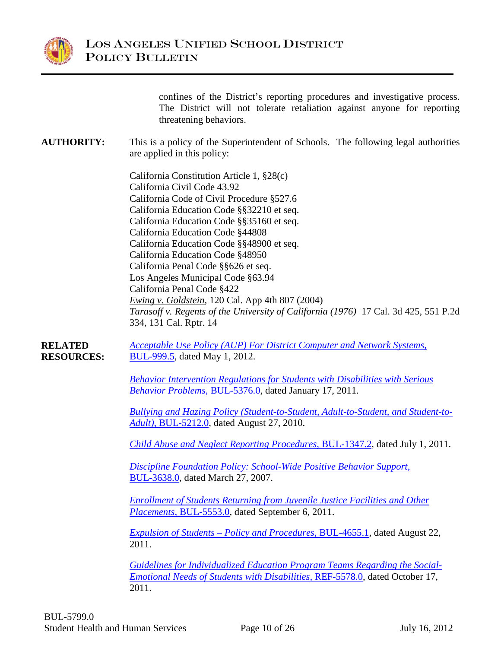

confines of the District's reporting procedures and investigative process. The District will not tolerate retaliation against anyone for reporting threatening behaviors.

#### **AUTHORITY:** This is a policy of the Superintendent of Schools. The following legal authorities are applied in this policy:

California Constitution Article 1, §28(c) California Civil Code 43.92 California Code of Civil Procedure §527.6 California Education Code §§32210 et seq. California Education Code §§35160 et seq. California Education Code §44808 California Education Code §§48900 et seq. California Education Code §48950 California Penal Code §§626 et seq. Los Angeles Municipal Code §63.94 California Penal Code §422 *Ewing v. Goldstein,* 120 Cal. App 4th 807 (2004) *Tarasoff v. [Regents of the University of California](http://en.wikipedia.org/wiki/Regents_of_the_University_of_California) (1976)* 17 Cal. 3d 425, 551 P.2d 334, 131 Cal. Rptr. 14

**RELATED RESOURCES:** *[Acceptable Use Policy \(AUP\) For District Computer and Network Systems,](http://notebook.lausd.net/pls/ptl/url/ITEM/BB58050CF106D014E0430A000210D014)*  [BUL-999.5,](http://notebook.lausd.net/pls/ptl/url/ITEM/BB58050CF106D014E0430A000210D014) dated May 1, 2012.

> *[Behavior Intervention Regulations for Students with Disabilities with Serious](http://notebook.lausd.net/pls/ptl/url/ITEM/99843E85B69FC080E0430A000210C080)  [Behavior Problems,](http://notebook.lausd.net/pls/ptl/url/ITEM/99843E85B69FC080E0430A000210C080)* BUL-5376.0, dated January 17, 2011.

*[Bullying and Hazing Policy \(Student-to-Student, Adult-to-Student, and Student-to-](http://notebook.lausd.net/pls/ptl/url/ITEM/8CDFC4E66F7D505AE0430A000210505A)Adult)*[, BUL-5212.0,](http://notebook.lausd.net/pls/ptl/url/ITEM/8CDFC4E66F7D505AE0430A000210505A) dated August 27, 2010.

*[Child Abuse and Neglect Reporting Procedures,](http://notebook.lausd.net/pls/ptl/url/ITEM/A28A6078F1D76054E0430A0002106054)* BUL-1347.2, dated July 1, 2011.

*[Discipline Foundation Policy: School-Wide Positive Behavior Support](http://notebook.lausd.net/pls/ptl/url/ITEM/2BD0A3DF8A46B036E0430A000210B036)*, [BUL-3638.0,](http://notebook.lausd.net/pls/ptl/url/ITEM/2BD0A3DF8A46B036E0430A000210B036) dated March 27, 2007.

*[Enrollment of Students Returning from Juvenile Justice Facilities and Other](http://notebook.lausd.net/pls/ptl/url/ITEM/AABACE9927A1302AE0430A000210302A)  Placements,* [BUL-5553.0,](http://notebook.lausd.net/pls/ptl/url/ITEM/AABACE9927A1302AE0430A000210302A) dated September 6, 2011.

*[Expulsion of Students – Policy and Procedures](http://notebook.lausd.net/pls/ptl/url/ITEM/A93883D42FB09090E0430A0002109090)*, BUL-4655.1, dated August 22, 2011.

*[Guidelines for Individualized Education Program Teams Regarding the Social-](http://notebook.lausd.net/pls/ptl/url/ITEM/ABE551574ED6F096E0430A000210F096)[Emotional Needs of Students with Disabilities,](http://notebook.lausd.net/pls/ptl/url/ITEM/ABE551574ED6F096E0430A000210F096)* REF-5578.0, dated October 17, 2011.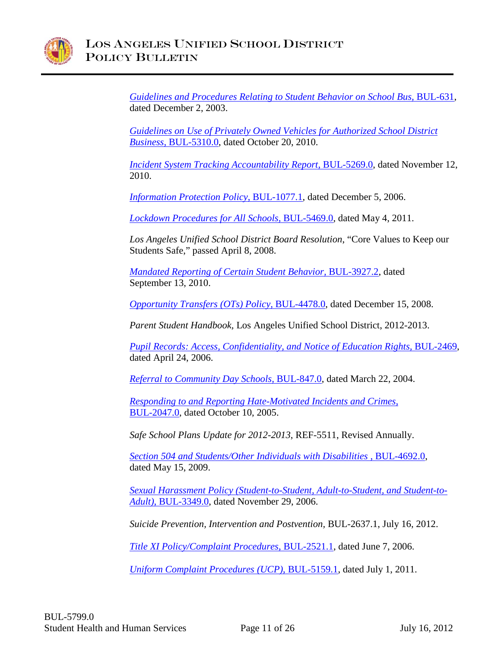

*[Guidelines and Procedures Relating to Student Behavior on School Bus,](http://notebook.lausd.net/pls/ptl/url/ITEM/DC60153E127AEBA0E0330A081FB5EBA0)* BUL-631, dated December 2, 2003.

*[Guidelines on Use of Privately Owned Vehicles for Authorized School District](http://notebook.lausd.net/pls/ptl/url/ITEM/917C3DADC04E7010E0430A0002107010)  Business,* [BUL-5310.0,](http://notebook.lausd.net/pls/ptl/url/ITEM/917C3DADC04E7010E0430A0002107010) dated October 20, 2010.

*[Incident System Tracking Accountability Report,](http://notebook.lausd.net/pls/ptl/url/ITEM/8DDD474C8D52403EE0430A000210403E) BUL-5269.0, dated November 12,* 2010.

*[Information Protection Policy](http://notebook.lausd.net/pls/ptl/url/ITEM/23E49E51DDCDC068E0430A000210C068)*, BUL-1077.1, dated December 5, 2006.

*[Lockdown Procedures for All Schools,](http://notebook.lausd.net/pls/ptl/url/ITEM/99871BC8BC027028E0430A0002107028)* BUL-5469.0, dated May 4, 2011.

*Los Angeles Unified School District Board Resolution*, "Core Values to Keep our Students Safe," passed April 8, 2008.

*[Mandated Reporting of Certain Student Behavior,](http://notebook.lausd.net/pls/ptl/url/ITEM/8DE02D617052B0FCE0430A000210B0FC)* BUL-3927.2, dated September 13, 2010.

*[Opportunity Transfers \(OTs\) Policy,](http://notebook.lausd.net/pls/ptl/url/ITEM/56F55F2B14BFA014E0430A000210A014)* BUL-4478.0, dated December 15, 2008.

*Parent Student Handbook,* Los Angeles Unified School District, 2012-2013.

*[Pupil Records: Access, Confidentiality, and Notice of Education Rights,](http://notebook.lausd.net/pls/ptl/url/ITEM/10DA9629341E903EE0430A081FB5903E)* BUL-2469, dated April 24, 2006.

*[Referral to Community Day Schools,](http://notebook.lausd.net/pls/ptl/url/ITEM/DC60153E1CC7EBA0E0330A081FB5EBA0)* BUL-847.0, dated March 22, 2004.

*[Responding to and Reporting Hate-Motivated Incidents and Crimes](http://notebook.lausd.net/pls/ptl/url/ITEM/01C8F754E6E0A0FAE0430A081FB5A0FA)*, [BUL-2047.0,](http://notebook.lausd.net/pls/ptl/url/ITEM/01C8F754E6E0A0FAE0430A081FB5A0FA) dated October 10, 2005.

*Safe School Plans Update for 2012-2013*, REF-5511, Revised Annually.

*[Section 504 and Students/Other Individuals with Disabilities](http://notebook.lausd.net/pls/ptl/url/ITEM/64DC6B5D144780F6E0430A00021080F6)* , BUL-4692.0, dated May 15, 2009.

*[Sexual Harassment Policy \(Student-to-Student, Adult-to-Student, and Student-to-](http://notebook.lausd.net/pls/ptl/url/ITEM/1F9EBE758959409CE0430A000210409C)Adult)*[, BUL-3349.0,](http://notebook.lausd.net/pls/ptl/url/ITEM/1F9EBE758959409CE0430A000210409C) dated November 29, 2006.

*Suicide Prevention, Intervention and Postvention,* BUL-2637.1, July 16, 2012.

*[Title XI Policy/Complaint Procedures](http://notebook.lausd.net/pls/ptl/url/ITEM/15A671355DD490FCE0430A081FB590FC)*, BUL-2521.1, dated June 7, 2006.

*[Uniform Complaint Procedures \(UCP\)](http://notebook.lausd.net/pls/ptl/url/ITEM/A28A5C9D20244092E0430A0002104092)*, BUL-5159.1, dated July 1, 2011.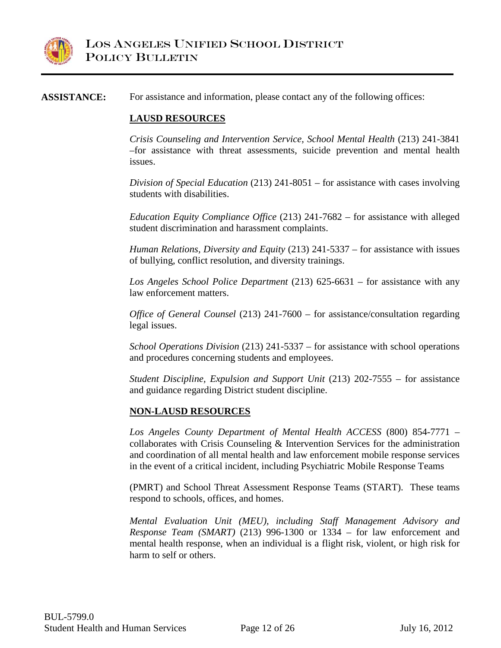

#### **ASSISTANCE:** For assistance and information, please contact any of the following offices:

#### **LAUSD RESOURCES**

*Crisis Counseling and Intervention Service, School Mental Health* (213) 241-3841 –for assistance with threat assessments, suicide prevention and mental health issues.

*Division of Special Education* (213) 241-8051 – for assistance with cases involving students with disabilities.

*Education Equity Compliance Office* (213) 241-7682 – for assistance with alleged student discrimination and harassment complaints.

*Human Relations, Diversity and Equity* (213) 241-5337 – for assistance with issues of bullying, conflict resolution, and diversity trainings.

*Los Angeles School Police Department* (213) 625-6631 – for assistance with any law enforcement matters.

*Office of General Counsel* (213) 241-7600 – for assistance/consultation regarding legal issues.

*School Operations Division* (213) 241-5337 – for assistance with school operations and procedures concerning students and employees.

*Student Discipline, Expulsion and Support Unit* (213) 202-7555 – for assistance and guidance regarding District student discipline.

#### **NON-LAUSD RESOURCES**

*Los Angeles County Department of Mental Health ACCESS* (800) 854-7771 – collaborates with Crisis Counseling & Intervention Services for the administration and coordination of all mental health and law enforcement mobile response services in the event of a critical incident, including Psychiatric Mobile Response Teams

(PMRT) and School Threat Assessment Response Teams (START). These teams respond to schools, offices, and homes.

*Mental Evaluation Unit (MEU), including Staff Management Advisory and Response Team (SMART)* (213) 996-1300 or 1334 – for law enforcement and mental health response, when an individual is a flight risk, violent, or high risk for harm to self or others.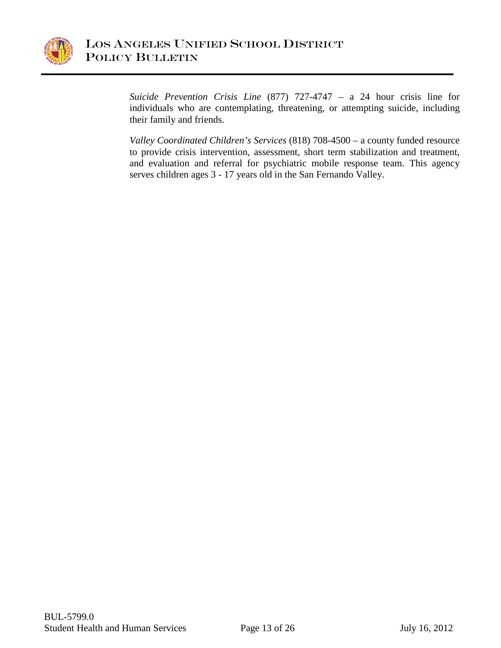

*Suicide Prevention Crisis Line* (877) 727-4747 – a 24 hour crisis line for individuals who are contemplating, threatening, or attempting suicide, including their family and friends.

*Valley Coordinated Children's Services* (818) 708-4500 – a county funded resource to provide crisis intervention, assessment, short term stabilization and treatment, and evaluation and referral for psychiatric mobile response team. This agency serves children ages 3 - 17 years old in the San Fernando Valley.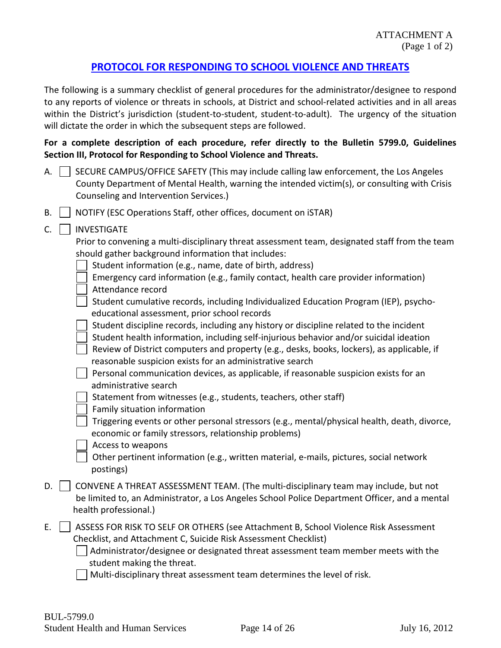### **[PROTOCOL FOR RESPONDING TO SCHOOL VIOLENCE AND THREATS](#page-3-0)**

<span id="page-14-0"></span>The following is a summary checklist of general procedures for the administrator/designee to respond to any reports of violence or threats in schools, at District and school-related activities and in all areas within the District's jurisdiction (student-to-student, student-to-adult). The urgency of the situation will dictate the order in which the subsequent steps are followed.

#### **For a complete description of each procedure, refer directly to the Bulletin 5799.0, Guidelines Section III, Protocol for Responding to School Violence and Threats.**

- A.  $\vert$  SECURE CAMPUS/OFFICE SAFETY (This may include calling law enforcement, the Los Angeles County Department of Mental Health, warning the intended victim(s), or consulting with Crisis Counseling and Intervention Services.)
- $B.$   $\Box$  NOTIFY (ESC Operations Staff, other offices, document on iSTAR)

#### $C.$

| C. | <b>INVESTIGATE</b>                                                                                                                                                                                            |
|----|---------------------------------------------------------------------------------------------------------------------------------------------------------------------------------------------------------------|
|    | Prior to convening a multi-disciplinary threat assessment team, designated staff from the team                                                                                                                |
|    | should gather background information that includes:                                                                                                                                                           |
|    | Student information (e.g., name, date of birth, address)                                                                                                                                                      |
|    | Emergency card information (e.g., family contact, health care provider information)<br>Attendance record                                                                                                      |
|    | Student cumulative records, including Individualized Education Program (IEP), psycho-                                                                                                                         |
|    | educational assessment, prior school records                                                                                                                                                                  |
|    | Student discipline records, including any history or discipline related to the incident                                                                                                                       |
|    | Student health information, including self-injurious behavior and/or suicidal ideation                                                                                                                        |
|    | Review of District computers and property (e.g., desks, books, lockers), as applicable, if                                                                                                                    |
|    | reasonable suspicion exists for an administrative search                                                                                                                                                      |
|    | Personal communication devices, as applicable, if reasonable suspicion exists for an<br>administrative search                                                                                                 |
|    | Statement from witnesses (e.g., students, teachers, other staff)                                                                                                                                              |
|    | Family situation information                                                                                                                                                                                  |
|    | Triggering events or other personal stressors (e.g., mental/physical health, death, divorce,<br>economic or family stressors, relationship problems)                                                          |
|    | Access to weapons                                                                                                                                                                                             |
|    | Other pertinent information (e.g., written material, e-mails, pictures, social network<br>postings)                                                                                                           |
| D. | CONVENE A THREAT ASSESSMENT TEAM. (The multi-disciplinary team may include, but not<br>be limited to, an Administrator, a Los Angeles School Police Department Officer, and a mental<br>health professional.) |
|    |                                                                                                                                                                                                               |
| E. | ASSESS FOR RISK TO SELF OR OTHERS (see Attachment B, School Violence Risk Assessment<br>Checklist, and Attachment C, Suicide Risk Assessment Checklist)                                                       |
|    | Administrator/designee or designated threat assessment team member meets with the                                                                                                                             |

student making the threat.

Multi-disciplinary threat assessment team determines the level of risk.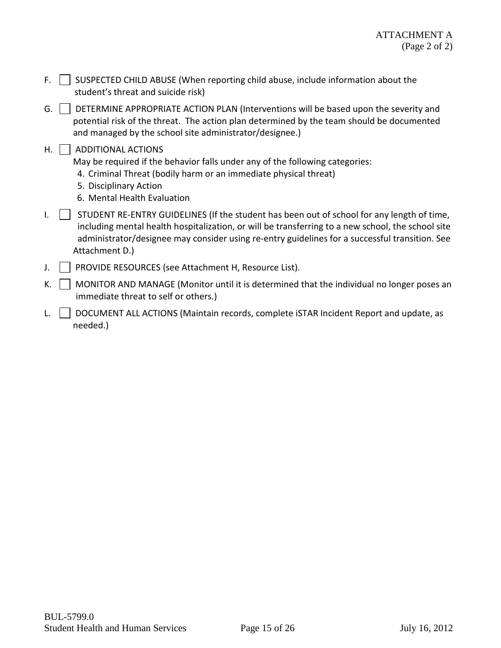- F.  $\Box$  SUSPECTED CHILD ABUSE (When reporting child abuse, include information about the student's threat and suicide risk)
- G. DETERMINE APPROPRIATE ACTION PLAN (Interventions will be based upon the severity and potential risk of the threat. The action plan determined by the team should be documented and managed by the school site administrator/designee.)
- $H.$  | ADDITIONAL ACTIONS

May be required if the behavior falls under any of the following categories:

- 4. Criminal Threat (bodily harm or an immediate physical threat)
- 5. Disciplinary Action
- 6. Mental Health Evaluation
- $I.$   $\parallel$  STUDENT RE-ENTRY GUIDELINES (If the student has been out of school for any length of time, including mental health hospitalization, or will be transferring to a new school, the school site administrator/designee may consider using re-entry guidelines for a successful transition. See Attachment D.)
- J. | | PROVIDE RESOURCES (see Attachment H, Resource List).
- K.  $\Box$  MONITOR AND MANAGE (Monitor until it is determined that the individual no longer poses an immediate threat to self or others.)
- L. **DOCUMENT ALL ACTIONS (Maintain records, complete ISTAR Incident Report and update, as** needed.)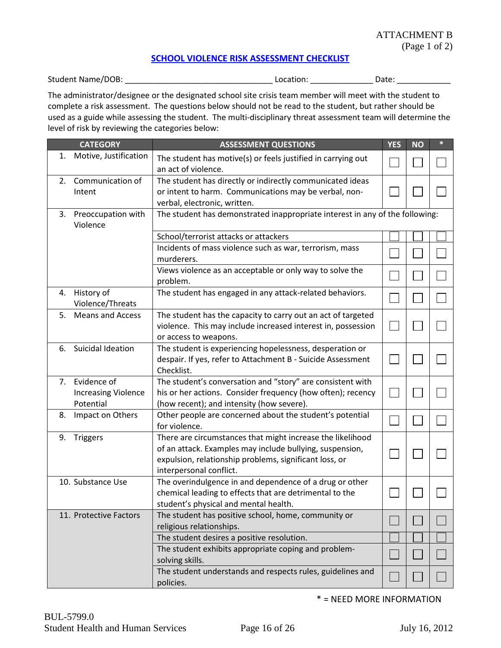#### **[SCHOOL VIOLENCE RISK ASSESSMENT CHECKLIST](#page-5-0)**

<span id="page-16-0"></span>Student Name/DOB: \_\_\_\_\_\_\_\_\_\_\_\_\_\_\_\_\_\_\_\_\_\_\_\_\_\_\_\_\_\_\_\_\_ Location: \_\_\_\_\_\_\_\_\_\_\_\_\_\_ Date: \_\_\_\_\_\_\_\_\_\_\_\_

The administrator/designee or the designated school site crisis team member will meet with the student to complete a risk assessment. The questions below should not be read to the student, but rather should be used as a guide while assessing the student. The multi-disciplinary threat assessment team will determine the level of risk by reviewing the categories below:

|    | <b>CATEGORY</b>                                           | <b>ASSESSMENT QUESTIONS</b>                                                                                                                                                                                 | <b>YES</b>   | <b>NO</b> | $\ast$ |
|----|-----------------------------------------------------------|-------------------------------------------------------------------------------------------------------------------------------------------------------------------------------------------------------------|--------------|-----------|--------|
| 1. | Motive, Justification                                     | The student has motive(s) or feels justified in carrying out<br>an act of violence.                                                                                                                         |              |           |        |
| 2. | Communication of<br>Intent                                | The student has directly or indirectly communicated ideas<br>or intent to harm. Communications may be verbal, non-<br>verbal, electronic, written.                                                          |              |           |        |
| 3. | Preoccupation with<br>Violence                            | The student has demonstrated inappropriate interest in any of the following:                                                                                                                                |              |           |        |
|    |                                                           | School/terrorist attacks or attackers                                                                                                                                                                       |              |           |        |
|    |                                                           | Incidents of mass violence such as war, terrorism, mass<br>murderers.                                                                                                                                       |              |           |        |
|    |                                                           | Views violence as an acceptable or only way to solve the<br>problem.                                                                                                                                        |              |           |        |
| 4. | History of<br>Violence/Threats                            | The student has engaged in any attack-related behaviors.                                                                                                                                                    |              |           |        |
| 5. | <b>Means and Access</b>                                   | The student has the capacity to carry out an act of targeted<br>violence. This may include increased interest in, possession<br>or access to weapons.                                                       | $\mathbf{L}$ |           |        |
| 6. | Suicidal Ideation                                         | The student is experiencing hopelessness, desperation or<br>despair. If yes, refer to Attachment B - Suicide Assessment<br>Checklist.                                                                       |              |           |        |
|    | 7. Evidence of<br><b>Increasing Violence</b><br>Potential | The student's conversation and "story" are consistent with<br>his or her actions. Consider frequency (how often); recency<br>(how recent); and intensity (how severe).                                      |              |           |        |
| 8. | Impact on Others                                          | Other people are concerned about the student's potential<br>for violence.                                                                                                                                   |              |           |        |
| 9. | <b>Triggers</b>                                           | There are circumstances that might increase the likelihood<br>of an attack. Examples may include bullying, suspension,<br>expulsion, relationship problems, significant loss, or<br>interpersonal conflict. |              |           |        |
|    | 10. Substance Use                                         | The overindulgence in and dependence of a drug or other<br>chemical leading to effects that are detrimental to the<br>student's physical and mental health.                                                 |              |           |        |
|    | 11. Protective Factors                                    | The student has positive school, home, community or<br>religious relationships.                                                                                                                             |              |           |        |
|    |                                                           | The student desires a positive resolution.                                                                                                                                                                  |              |           |        |
|    |                                                           | The student exhibits appropriate coping and problem-<br>solving skills.                                                                                                                                     |              |           |        |
|    |                                                           | The student understands and respects rules, guidelines and<br>policies.                                                                                                                                     |              |           |        |

\* = NEED MORE INFORMATION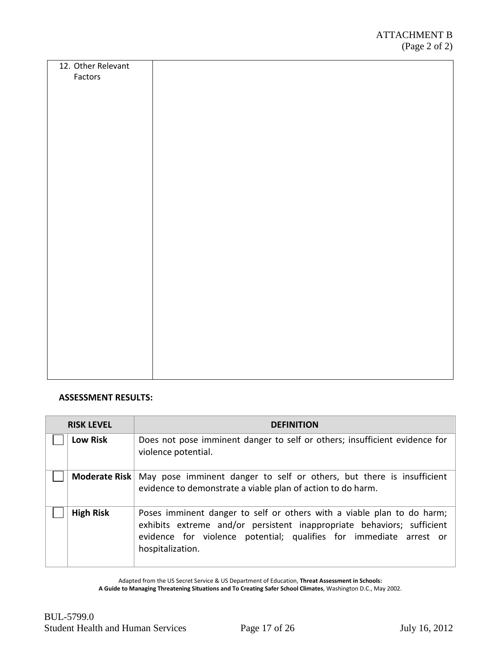| 12. Other Relevant<br>Factors |  |
|-------------------------------|--|
|                               |  |
|                               |  |
|                               |  |
|                               |  |
|                               |  |
|                               |  |
|                               |  |
|                               |  |
|                               |  |
|                               |  |
|                               |  |
|                               |  |
|                               |  |
|                               |  |
|                               |  |
|                               |  |
|                               |  |
|                               |  |

#### **ASSESSMENT RESULTS:**

| <b>RISK LEVEL</b> | <b>DEFINITION</b>                                                                                                                                                                                                                          |
|-------------------|--------------------------------------------------------------------------------------------------------------------------------------------------------------------------------------------------------------------------------------------|
| <b>Low Risk</b>   | Does not pose imminent danger to self or others; insufficient evidence for<br>violence potential.                                                                                                                                          |
|                   | Moderate Risk   May pose imminent danger to self or others, but there is insufficient<br>evidence to demonstrate a viable plan of action to do harm.                                                                                       |
| <b>High Risk</b>  | Poses imminent danger to self or others with a viable plan to do harm;<br>exhibits extreme and/or persistent inappropriate behaviors; sufficient<br>evidence for violence potential; qualifies for immediate arrest or<br>hospitalization. |

Adapted from the US Secret Service & US Department of Education, **Threat Assessment in Schools:** 

**A Guide to Managing Threatening Situations and To Creating Safer School Climates**, Washington D.C., May 2002.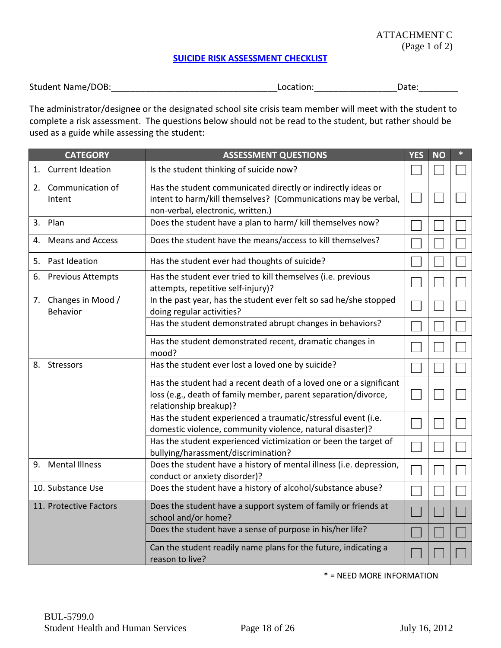#### ATTACHMENT C (Page 1 of 2)

#### **[SUICIDE RISK ASSESSMENT CHECKLIST](#page-5-1)**

<span id="page-18-0"></span>

| <b>Student Name/DOB:</b> | Location: | Date |
|--------------------------|-----------|------|
|--------------------------|-----------|------|

The administrator/designee or the designated school site crisis team member will meet with the student to complete a risk assessment. The questions below should not be read to the student, but rather should be used as a guide while assessing the student:

|    | <b>CATEGORY</b>                  | <b>ASSESSMENT QUESTIONS</b>                                                                                                                                         | <b>YES</b> | <b>NO</b> |  |
|----|----------------------------------|---------------------------------------------------------------------------------------------------------------------------------------------------------------------|------------|-----------|--|
| 1. | <b>Current Ideation</b>          | Is the student thinking of suicide now?                                                                                                                             |            |           |  |
| 2. | Communication of<br>Intent       | Has the student communicated directly or indirectly ideas or<br>intent to harm/kill themselves? (Communications may be verbal,<br>non-verbal, electronic, written.) |            |           |  |
| 3. | Plan                             | Does the student have a plan to harm/ kill themselves now?                                                                                                          |            |           |  |
| 4. | <b>Means and Access</b>          | Does the student have the means/access to kill themselves?                                                                                                          |            |           |  |
| 5. | Past Ideation                    | Has the student ever had thoughts of suicide?                                                                                                                       |            |           |  |
| 6. | <b>Previous Attempts</b>         | Has the student ever tried to kill themselves (i.e. previous<br>attempts, repetitive self-injury)?                                                                  |            |           |  |
|    | 7. Changes in Mood /<br>Behavior | In the past year, has the student ever felt so sad he/she stopped<br>doing regular activities?                                                                      |            |           |  |
|    |                                  | Has the student demonstrated abrupt changes in behaviors?                                                                                                           |            |           |  |
|    |                                  | Has the student demonstrated recent, dramatic changes in<br>mood?                                                                                                   |            |           |  |
| 8. | Stressors                        | Has the student ever lost a loved one by suicide?                                                                                                                   |            |           |  |
|    |                                  | Has the student had a recent death of a loved one or a significant<br>loss (e.g., death of family member, parent separation/divorce,<br>relationship breakup)?      |            |           |  |
|    |                                  | Has the student experienced a traumatic/stressful event (i.e.<br>domestic violence, community violence, natural disaster)?                                          |            |           |  |
|    |                                  | Has the student experienced victimization or been the target of<br>bullying/harassment/discrimination?                                                              |            |           |  |
| 9. | <b>Mental Illness</b>            | Does the student have a history of mental illness (i.e. depression,<br>conduct or anxiety disorder)?                                                                |            |           |  |
|    | 10. Substance Use                | Does the student have a history of alcohol/substance abuse?                                                                                                         |            |           |  |
|    | 11. Protective Factors           | Does the student have a support system of family or friends at<br>school and/or home?                                                                               |            |           |  |
|    |                                  | Does the student have a sense of purpose in his/her life?                                                                                                           |            |           |  |
|    |                                  | Can the student readily name plans for the future, indicating a<br>reason to live?                                                                                  |            |           |  |

\* = NEED MORE INFORMATION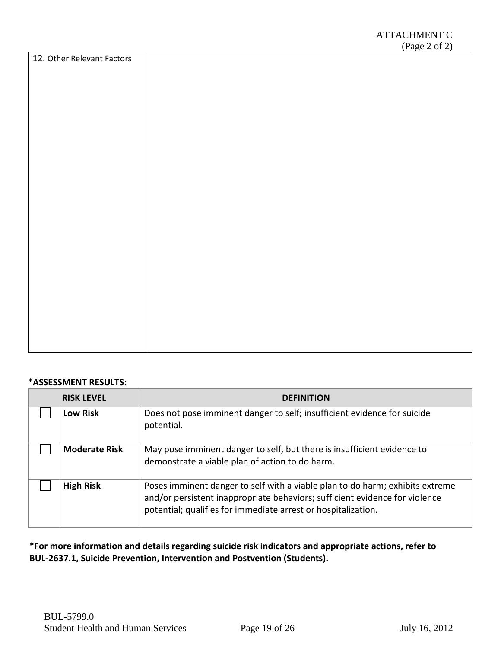|                            | $\frac{(1 \text{ gC } 2 \text{ oI } 2)}{2}$ |
|----------------------------|---------------------------------------------|
| 12. Other Relevant Factors |                                             |
|                            |                                             |
|                            |                                             |
|                            |                                             |
|                            |                                             |
|                            |                                             |
|                            |                                             |
|                            |                                             |
|                            |                                             |
|                            |                                             |
|                            |                                             |
|                            |                                             |
|                            |                                             |
|                            |                                             |
|                            |                                             |
|                            |                                             |
|                            |                                             |
|                            |                                             |
|                            |                                             |
|                            |                                             |
|                            |                                             |
|                            |                                             |
|                            |                                             |
|                            |                                             |
|                            |                                             |
|                            |                                             |
|                            |                                             |
|                            |                                             |
|                            |                                             |
|                            |                                             |
|                            |                                             |
|                            |                                             |
|                            |                                             |
|                            |                                             |
|                            |                                             |
|                            |                                             |
|                            |                                             |
|                            |                                             |
|                            |                                             |
|                            |                                             |
|                            |                                             |
|                            |                                             |
|                            |                                             |
|                            |                                             |
|                            |                                             |
|                            |                                             |
|                            |                                             |
|                            |                                             |
|                            |                                             |
|                            |                                             |
|                            |                                             |
|                            |                                             |
|                            |                                             |
|                            |                                             |
|                            |                                             |
|                            |                                             |

#### **\*ASSESSMENT RESULTS:**

| <b>RISK LEVEL</b>    | <b>DEFINITION</b>                                                                                                                                                                                                             |
|----------------------|-------------------------------------------------------------------------------------------------------------------------------------------------------------------------------------------------------------------------------|
| <b>Low Risk</b>      | Does not pose imminent danger to self; insufficient evidence for suicide<br>potential.                                                                                                                                        |
| <b>Moderate Risk</b> | May pose imminent danger to self, but there is insufficient evidence to<br>demonstrate a viable plan of action to do harm.                                                                                                    |
| <b>High Risk</b>     | Poses imminent danger to self with a viable plan to do harm; exhibits extreme<br>and/or persistent inappropriate behaviors; sufficient evidence for violence<br>potential; qualifies for immediate arrest or hospitalization. |

**\*For more information and details regarding suicide risk indicators and appropriate actions, refer to BUL-2637.1, Suicide Prevention, Intervention and Postvention (Students).**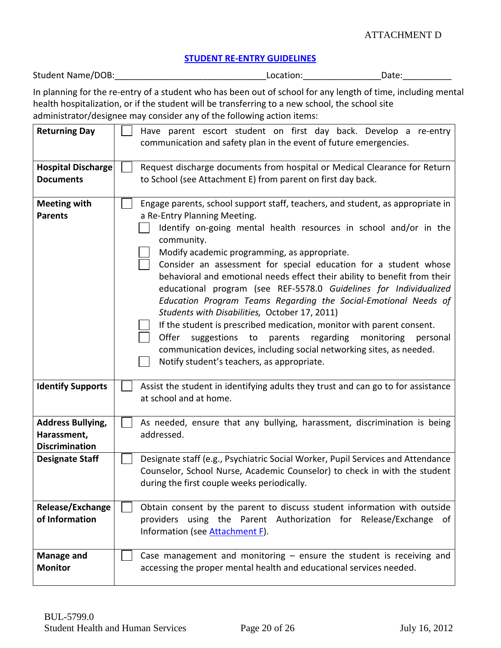#### ATTACHMENT D

#### **[STUDENT RE-ENTRY GUIDELINES](#page-8-0)**

<span id="page-20-1"></span><span id="page-20-0"></span>

| Student Name/DOB:<br>Location:<br>Date: |  |
|-----------------------------------------|--|
|-----------------------------------------|--|

In planning for the re-entry of a student who has been out of school for any length of time, including mental health hospitalization, or if the student will be transferring to a new school, the school site administrator/designee may consider any of the following action items:

| <b>Returning Day</b>                                             | Have parent escort student on first day back. Develop a re-entry<br>communication and safety plan in the event of future emergencies.                                                                                                                                                                                                                                                                                                                                                                                                                                                                                                                                                                                                                                                                                                                                |
|------------------------------------------------------------------|----------------------------------------------------------------------------------------------------------------------------------------------------------------------------------------------------------------------------------------------------------------------------------------------------------------------------------------------------------------------------------------------------------------------------------------------------------------------------------------------------------------------------------------------------------------------------------------------------------------------------------------------------------------------------------------------------------------------------------------------------------------------------------------------------------------------------------------------------------------------|
| <b>Hospital Discharge</b><br><b>Documents</b>                    | Request discharge documents from hospital or Medical Clearance for Return<br>to School (see Attachment E) from parent on first day back.                                                                                                                                                                                                                                                                                                                                                                                                                                                                                                                                                                                                                                                                                                                             |
| <b>Meeting with</b><br><b>Parents</b>                            | Engage parents, school support staff, teachers, and student, as appropriate in<br>a Re-Entry Planning Meeting.<br>Identify on-going mental health resources in school and/or in the<br>community.<br>Modify academic programming, as appropriate.<br>Consider an assessment for special education for a student whose<br>behavioral and emotional needs effect their ability to benefit from their<br>educational program (see REF-5578.0 Guidelines for Individualized<br>Education Program Teams Regarding the Social-Emotional Needs of<br>Students with Disabilities, October 17, 2011)<br>If the student is prescribed medication, monitor with parent consent.<br>parents regarding<br>Offer<br>suggestions to<br>monitoring<br>personal<br>communication devices, including social networking sites, as needed.<br>Notify student's teachers, as appropriate. |
| <b>Identify Supports</b>                                         | Assist the student in identifying adults they trust and can go to for assistance<br>at school and at home.                                                                                                                                                                                                                                                                                                                                                                                                                                                                                                                                                                                                                                                                                                                                                           |
| <b>Address Bullying,</b><br>Harassment,<br><b>Discrimination</b> | As needed, ensure that any bullying, harassment, discrimination is being<br>addressed.                                                                                                                                                                                                                                                                                                                                                                                                                                                                                                                                                                                                                                                                                                                                                                               |
| <b>Designate Staff</b>                                           | Designate staff (e.g., Psychiatric Social Worker, Pupil Services and Attendance<br>Counselor, School Nurse, Academic Counselor) to check in with the student<br>during the first couple weeks periodically.                                                                                                                                                                                                                                                                                                                                                                                                                                                                                                                                                                                                                                                          |
| Release/Exchange<br>of Information                               | Obtain consent by the parent to discuss student information with outside<br>providers using the Parent Authorization for Release/Exchange<br>0f<br>Information (see Attachment F).                                                                                                                                                                                                                                                                                                                                                                                                                                                                                                                                                                                                                                                                                   |
| <b>Manage and</b><br><b>Monitor</b>                              | Case management and monitoring $-$ ensure the student is receiving and<br>accessing the proper mental health and educational services needed.                                                                                                                                                                                                                                                                                                                                                                                                                                                                                                                                                                                                                                                                                                                        |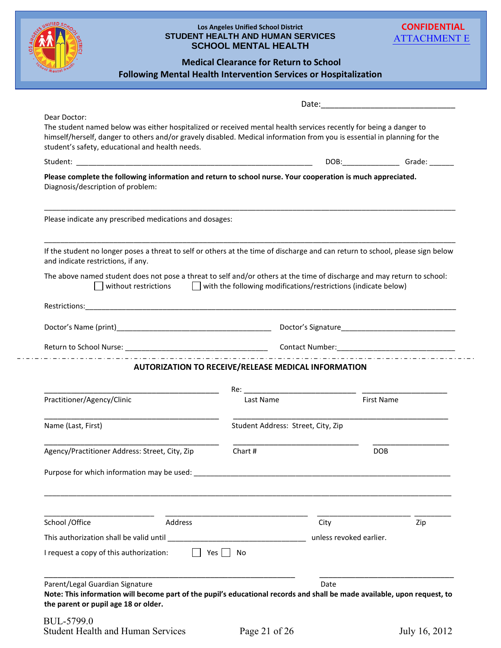<span id="page-21-0"></span>

| <b>Following Mental Health Intervention Services or Hospitalization</b>                                                                                                                                                                                                                                          | <b>Los Angeles Unified School District</b><br><b>STUDENT HEALTH AND HUMAN SERVICES</b><br><b>SCHOOL MENTAL HEALTH</b><br><b>Medical Clearance for Return to School</b>                                                        |                         | <b>CONFIDENTIAL</b><br><b>ATTACHMENT E</b> |
|------------------------------------------------------------------------------------------------------------------------------------------------------------------------------------------------------------------------------------------------------------------------------------------------------------------|-------------------------------------------------------------------------------------------------------------------------------------------------------------------------------------------------------------------------------|-------------------------|--------------------------------------------|
|                                                                                                                                                                                                                                                                                                                  |                                                                                                                                                                                                                               |                         |                                            |
| Dear Doctor:<br>The student named below was either hospitalized or received mental health services recently for being a danger to<br>himself/herself, danger to others and/or gravely disabled. Medical information from you is essential in planning for the<br>student's safety, educational and health needs. |                                                                                                                                                                                                                               |                         |                                            |
|                                                                                                                                                                                                                                                                                                                  |                                                                                                                                                                                                                               |                         |                                            |
| Please complete the following information and return to school nurse. Your cooperation is much appreciated.<br>Diagnosis/description of problem:                                                                                                                                                                 |                                                                                                                                                                                                                               |                         |                                            |
| Please indicate any prescribed medications and dosages:                                                                                                                                                                                                                                                          |                                                                                                                                                                                                                               |                         |                                            |
| If the student no longer poses a threat to self or others at the time of discharge and can return to school, please sign below<br>and indicate restrictions, if any.                                                                                                                                             |                                                                                                                                                                                                                               |                         |                                            |
| The above named student does not pose a threat to self and/or others at the time of discharge and may return to school:<br>without restrictions                                                                                                                                                                  | $\Box$ with the following modifications/restrictions (indicate below)                                                                                                                                                         |                         |                                            |
|                                                                                                                                                                                                                                                                                                                  |                                                                                                                                                                                                                               |                         |                                            |
|                                                                                                                                                                                                                                                                                                                  |                                                                                                                                                                                                                               |                         |                                            |
|                                                                                                                                                                                                                                                                                                                  |                                                                                                                                                                                                                               |                         |                                            |
|                                                                                                                                                                                                                                                                                                                  | <b>AUTORIZATION TO RECEIVE/RELEASE MEDICAL INFORMATION</b>                                                                                                                                                                    |                         |                                            |
|                                                                                                                                                                                                                                                                                                                  | Re: where the contract of the contract of the contract of the contract of the contract of the contract of the contract of the contract of the contract of the contract of the contract of the contract of the contract of the |                         |                                            |
| Practitioner/Agency/Clinic                                                                                                                                                                                                                                                                                       | Last Name                                                                                                                                                                                                                     |                         | <b>First Name</b>                          |
| Name (Last, First)                                                                                                                                                                                                                                                                                               | Student Address: Street, City, Zip                                                                                                                                                                                            |                         |                                            |
| Agency/Practitioner Address: Street, City, Zip                                                                                                                                                                                                                                                                   | Chart #                                                                                                                                                                                                                       |                         | <b>DOB</b>                                 |
|                                                                                                                                                                                                                                                                                                                  |                                                                                                                                                                                                                               |                         |                                            |
|                                                                                                                                                                                                                                                                                                                  |                                                                                                                                                                                                                               |                         |                                            |
| Address<br>School / Office                                                                                                                                                                                                                                                                                       |                                                                                                                                                                                                                               | City                    | Zip                                        |
|                                                                                                                                                                                                                                                                                                                  |                                                                                                                                                                                                                               | unless revoked earlier. |                                            |
| I request a copy of this authorization:                                                                                                                                                                                                                                                                          | Yes I I No                                                                                                                                                                                                                    |                         |                                            |
| Parent/Legal Guardian Signature                                                                                                                                                                                                                                                                                  | Note: This information will become part of the pupil's educational records and shall be made available, upon request, to                                                                                                      | Date                    |                                            |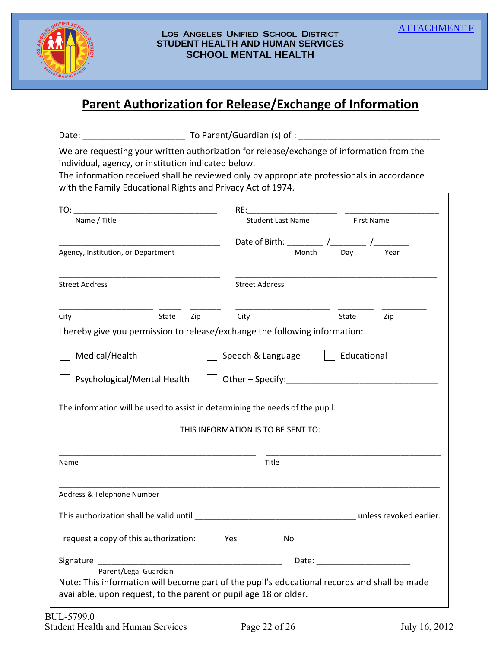<span id="page-22-0"></span>

#### Los Angeles Unified School District **STUDENT HEALTH AND HUMAN SERVICES SCHOOL MENTAL HEALTH**

# **Parent Authorization for Release/Exchange of Information**

| Date: | To Parent/Guardian (s) of : |
|-------|-----------------------------|
|       |                             |

We are requesting your written authorization for release/exchange of information from the individual, agency, or institution indicated below.

The information received shall be reviewed only by appropriate professionals in accordance with the Family Educational Rights and Privacy Act of 1974.

| TO:                                                                                                                                                                                       | RE: and the contract of the contract of the contract of the contract of the contract of the contract of the contract of the contract of the contract of the contract of the contract of the contract of the contract of the co |                                                                                                                                                                                                                                |  |
|-------------------------------------------------------------------------------------------------------------------------------------------------------------------------------------------|--------------------------------------------------------------------------------------------------------------------------------------------------------------------------------------------------------------------------------|--------------------------------------------------------------------------------------------------------------------------------------------------------------------------------------------------------------------------------|--|
| Name / Title                                                                                                                                                                              | Student Last Name                                                                                                                                                                                                              | First Name                                                                                                                                                                                                                     |  |
|                                                                                                                                                                                           | Date of Birth: _________ /__________ /__                                                                                                                                                                                       |                                                                                                                                                                                                                                |  |
| Agency, Institution, or Department                                                                                                                                                        | Month<br>Day                                                                                                                                                                                                                   | Year                                                                                                                                                                                                                           |  |
| <b>Street Address</b>                                                                                                                                                                     | <b>Street Address</b>                                                                                                                                                                                                          |                                                                                                                                                                                                                                |  |
| State<br>City<br>Zip                                                                                                                                                                      | City<br>State                                                                                                                                                                                                                  | Zip                                                                                                                                                                                                                            |  |
| I hereby give you permission to release/exchange the following information:                                                                                                               |                                                                                                                                                                                                                                |                                                                                                                                                                                                                                |  |
| Medical/Health                                                                                                                                                                            | Speech & Language                                                                                                                                                                                                              | Educational                                                                                                                                                                                                                    |  |
| Psychological/Mental Health                                                                                                                                                               | $\vert$ $\vert$ Other – Specify:                                                                                                                                                                                               |                                                                                                                                                                                                                                |  |
| The information will be used to assist in determining the needs of the pupil.                                                                                                             |                                                                                                                                                                                                                                |                                                                                                                                                                                                                                |  |
|                                                                                                                                                                                           | THIS INFORMATION IS TO BE SENT TO:                                                                                                                                                                                             |                                                                                                                                                                                                                                |  |
| Name                                                                                                                                                                                      | Title                                                                                                                                                                                                                          |                                                                                                                                                                                                                                |  |
| Address & Telephone Number                                                                                                                                                                |                                                                                                                                                                                                                                |                                                                                                                                                                                                                                |  |
|                                                                                                                                                                                           |                                                                                                                                                                                                                                |                                                                                                                                                                                                                                |  |
| I request a copy of this authorization:                                                                                                                                                   | No<br>$\vert$   Yes                                                                                                                                                                                                            |                                                                                                                                                                                                                                |  |
| Signature:                                                                                                                                                                                |                                                                                                                                                                                                                                | Date: the contract of the contract of the contract of the contract of the contract of the contract of the contract of the contract of the contract of the contract of the contract of the contract of the contract of the cont |  |
| Parent/Legal Guardian<br>Note: This information will become part of the pupil's educational records and shall be made<br>available, upon request, to the parent or pupil age 18 or older. |                                                                                                                                                                                                                                |                                                                                                                                                                                                                                |  |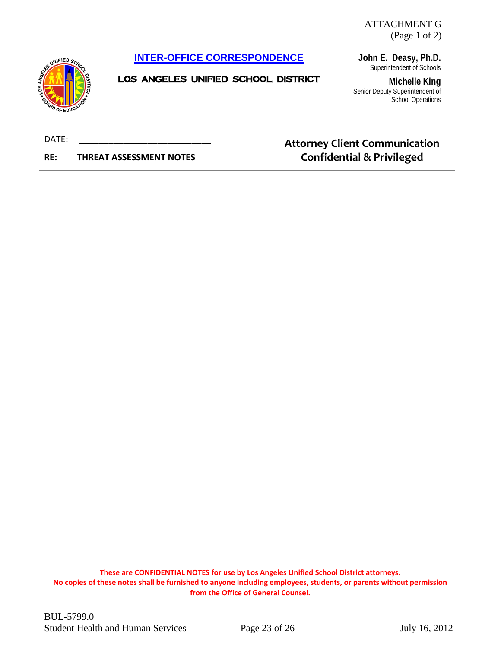ATTACHMENT G (Page 1 of 2)

#### <span id="page-23-0"></span>**[INTER-OFFICE CORRESPONDENCE](#page-8-2)**



LOS ANGELES UNIFIED SCHOOL DISTRICT

**John E. Deasy, Ph.D.** Superintendent of Schools

**Michelle King** Senior Deputy Superintendent of School Operations

DATE:

**RE: THREAT ASSESSMENT NOTES**

# **Attorney Client Communication Confidential & Privileged**

**These are CONFIDENTIAL NOTES for use by Los Angeles Unified School District attorneys. No copies of these notes shall be furnished to anyone including employees, students, or parents without permission from the Office of General Counsel.**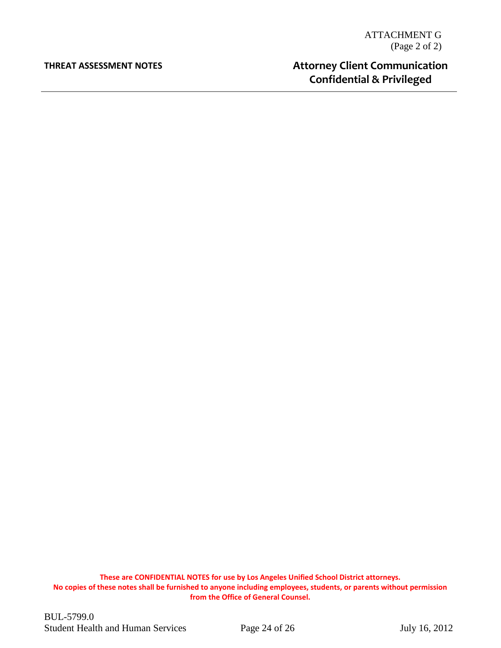#### **THREAT ASSESSMENT NOTES**

# **Attorney Client Communication Confidential & Privileged**

**These are CONFIDENTIAL NOTES for use by Los Angeles Unified School District attorneys. No copies of these notes shall be furnished to anyone including employees, students, or parents without permission from the Office of General Counsel.**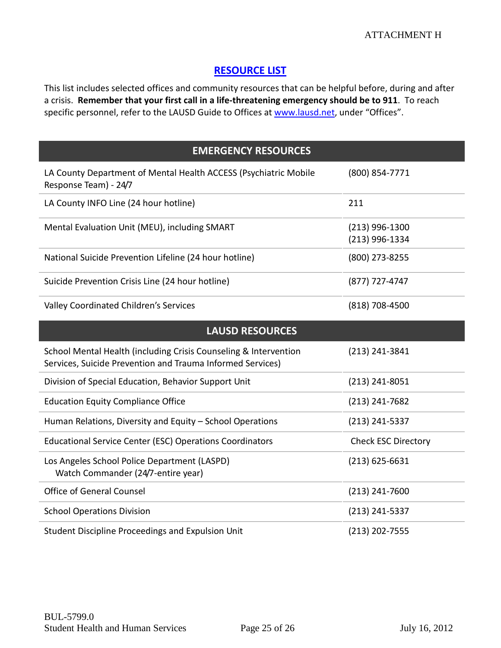## **[RESOURCE LIST](#page-4-0)**

<span id="page-25-0"></span>This list includes selected offices and community resources that can be helpful before, during and after a crisis. **Remember that your first call in a life-threatening emergency should be to 911**. To reach specific personnel, refer to the LAUSD Guide to Offices at [www.lausd.net,](http://www.lausd.net/) under "Offices".

| <b>EMERGENCY RESOURCES</b>                                                                                                     |                                    |  |  |  |
|--------------------------------------------------------------------------------------------------------------------------------|------------------------------------|--|--|--|
| LA County Department of Mental Health ACCESS (Psychiatric Mobile<br>Response Team) - 24/7                                      | (800) 854-7771                     |  |  |  |
| LA County INFO Line (24 hour hotline)                                                                                          | 211                                |  |  |  |
| Mental Evaluation Unit (MEU), including SMART                                                                                  | $(213)$ 996-1300<br>(213) 996-1334 |  |  |  |
| National Suicide Prevention Lifeline (24 hour hotline)                                                                         | (800) 273-8255                     |  |  |  |
| Suicide Prevention Crisis Line (24 hour hotline)                                                                               | (877) 727-4747                     |  |  |  |
| Valley Coordinated Children's Services                                                                                         | (818) 708-4500                     |  |  |  |
| <b>LAUSD RESOURCES</b>                                                                                                         |                                    |  |  |  |
| School Mental Health (including Crisis Counseling & Intervention<br>Services, Suicide Prevention and Trauma Informed Services) | (213) 241-3841                     |  |  |  |
| Division of Special Education, Behavior Support Unit                                                                           | $(213)$ 241-8051                   |  |  |  |
| <b>Education Equity Compliance Office</b>                                                                                      | $(213)$ 241-7682                   |  |  |  |
|                                                                                                                                |                                    |  |  |  |
| Human Relations, Diversity and Equity - School Operations                                                                      | (213) 241-5337                     |  |  |  |
| <b>Educational Service Center (ESC) Operations Coordinators</b>                                                                | <b>Check ESC Directory</b>         |  |  |  |
| Los Angeles School Police Department (LASPD)<br>Watch Commander (24/7-entire year)                                             | $(213)$ 625-6631                   |  |  |  |
| <b>Office of General Counsel</b>                                                                                               | (213) 241-7600                     |  |  |  |
| <b>School Operations Division</b>                                                                                              | $(213)$ 241-5337                   |  |  |  |